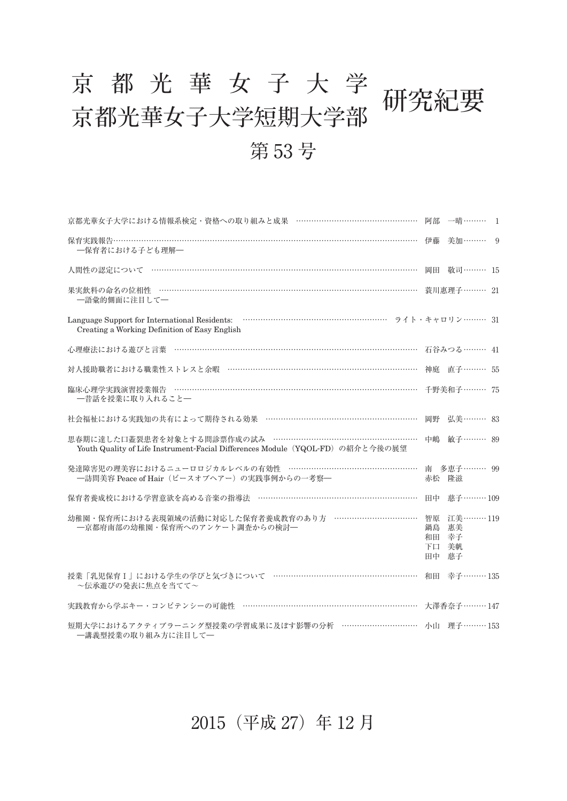## 京都光華女子大学研究紀要<br>京都光華女子大学短期大学部 第 53 号

| 京都光華女子大学における情報系検定・資格への取り組みと成果 …………………………………………… 阿部 一晴……… 1                                                                                     |                            |               |  |
|------------------------------------------------------------------------------------------------------------------------------------------------|----------------------------|---------------|--|
| ―保育者における子ども理解―                                                                                                                                 |                            |               |  |
| 人間性の認定について …………………………………………………………………………………………                                                                                                  |                            | 岡田 敬司……… 15   |  |
| 一語彙的側面に注目して一                                                                                                                                   |                            | - 蓑川惠理子……… 21 |  |
| Creating a Working Definition of Easy English                                                                                                  |                            |               |  |
| 心理療法における遊びと言葉 ………………………………………………………………………………………… 石谷みつる……… 41                                                                                   |                            |               |  |
| 対人援助職者における職業性ストレスと余暇 ………………………………………………………………… 神庭 直子……… 55                                                                                     |                            |               |  |
| 臨床心理学実践演習授業報告 ……………………………………………………………………………………… 千野美和子……… 75<br>一昔話を授業に取り入れること一                                                                 |                            |               |  |
| 社会福祉における実践知の共有によって期待される効果 ……………………………………………………                                                                                                 |                            | 岡野 弘美……… 83   |  |
| 思春期に達した口蓋裂患者を対象とする問診票作成の試み ……………………………………………………… 中嶋 敏子……… 89<br>Youth Quality of Life Instrument-Facial Differences Module (YQOL-FD) の紹介と今後の展望 |                            |               |  |
| 発達障害児の理美容におけるニューロロジカルレベルの有効性 ……………………………………………… 南 多恵子……… 99<br>一訪問美容 Peace of Hair (ピースオブヘアー)の実践事例からの一考察–                                      | 赤松 隆滋                      |               |  |
| 保育者養成校における学習意欲を高める音楽の指導法 ………………………………………………………… 田中 慈子……… 109                                                                                   |                            |               |  |
| 幼稚園・保育所における表現領域の活動に対応した保育者養成教育のあり方 ……………………………… 智原 江美……… 119<br>一京都府南部の幼稚園・保育所へのアンケート調査からの検討一                                                  | 鍋島<br>和田 幸子<br>下口 美帆<br>田中 | 惠美<br>慈子      |  |
| 授業「乳児保育 I 」における学生の学びと気づきについて ………………………………………………… 和田 幸子……… 135<br>~伝承遊びの発表に焦点を当てて~                                                              |                            |               |  |
| 実践教育から学ぶキー・コンピテンシーの可能性 ………………………………………………………………… 大澤香奈子……… 147                                                                                  |                            |               |  |
| 短期大学におけるアクティブラーニング型授業の学習成果に及ぼす影響の分析 …………………………… 小山 理子………153<br>一講義型授業の取り組み方に注目して一                                                              |                            |               |  |

## 2015(平成 27)年 12 月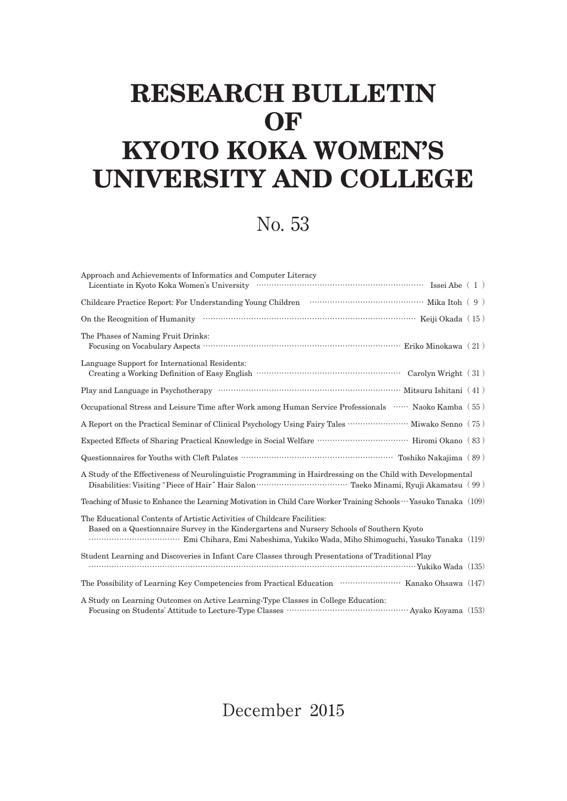## **RESEARCH BULLETIN OF KYOTO KOKA WOMEN'S UNIVERSITY AND COLLEGE**

No. 53

| Approach and Achievements of Informatics and Computer Literacy                                                                                                         |  |  |  |
|------------------------------------------------------------------------------------------------------------------------------------------------------------------------|--|--|--|
| Childcare Practice Report: For Understanding Young Children (1990) (1990) Mika Itoh (1990)                                                                             |  |  |  |
|                                                                                                                                                                        |  |  |  |
| The Phases of Naming Fruit Drinks:                                                                                                                                     |  |  |  |
| Language Support for International Residents:<br>Carolyn Wright $(31)$                                                                                                 |  |  |  |
|                                                                                                                                                                        |  |  |  |
| Occupational Stress and Leisure Time after Work among Human Service Professionals  Naoko Kamba (55)                                                                    |  |  |  |
| A Report on the Practical Seminar of Clinical Psychology Using Fairy Tales ························ Miwako Senno (75)                                                  |  |  |  |
|                                                                                                                                                                        |  |  |  |
|                                                                                                                                                                        |  |  |  |
| A Study of the Effectiveness of Neurolinguistic Programming in Hairdressing on the Child with Developmental                                                            |  |  |  |
| Teaching of Music to Enhance the Learning Motivation in Child Care Worker Training Schools ··· Yasuko Tanaka (109)                                                     |  |  |  |
| The Educational Contents of Artistic Activities of Childcare Facilities:<br>Based on a Questionnaire Survey in the Kindergartens and Nursery Schools of Southern Kyoto |  |  |  |
| Student Learning and Discoveries in Infant Care Classes through Presentations of Traditional Play                                                                      |  |  |  |
| The Possibility of Learning Key Competencies from Practical Education ······························ Kanako Ohsawa (147)                                               |  |  |  |
| A Study on Learning Outcomes on Active Learning-Type Classes in College Education:                                                                                     |  |  |  |

December 2015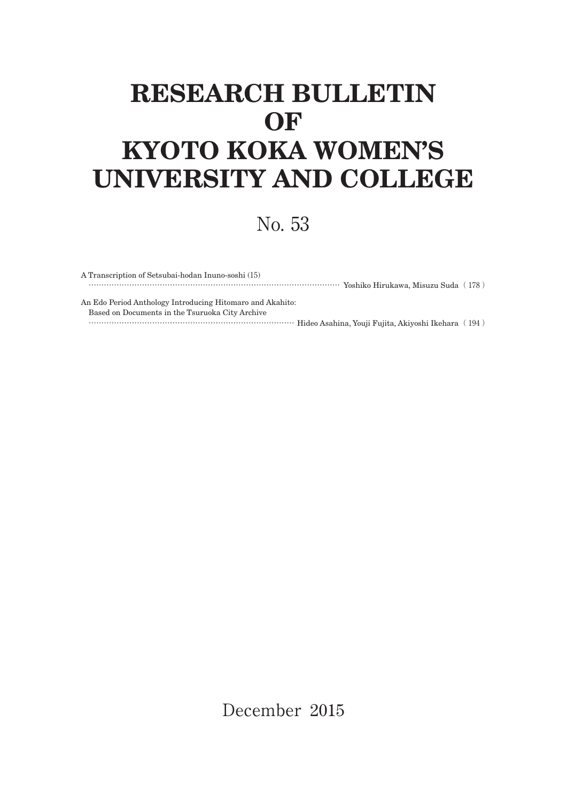## **RESEARCH BULLETIN OF KYOTO KOKA WOMEN'S UNIVERSITY AND COLLEGE**

No. 53

| A Transcription of Setsubai-hodan Inuno-soshi (15)                                                      |  |
|---------------------------------------------------------------------------------------------------------|--|
|                                                                                                         |  |
|                                                                                                         |  |
| An Edo Period Anthology Introducing Hitomaro and Akahito:                                               |  |
| Based on Documents in the Tsuruoka City Archive                                                         |  |
| (194) Hideo Asahina, Youji Fujita, Akiyoshi Ikehara (194) Hideo Asahina, Youji Fujita, Akiyoshi Ikehara |  |

December 2015